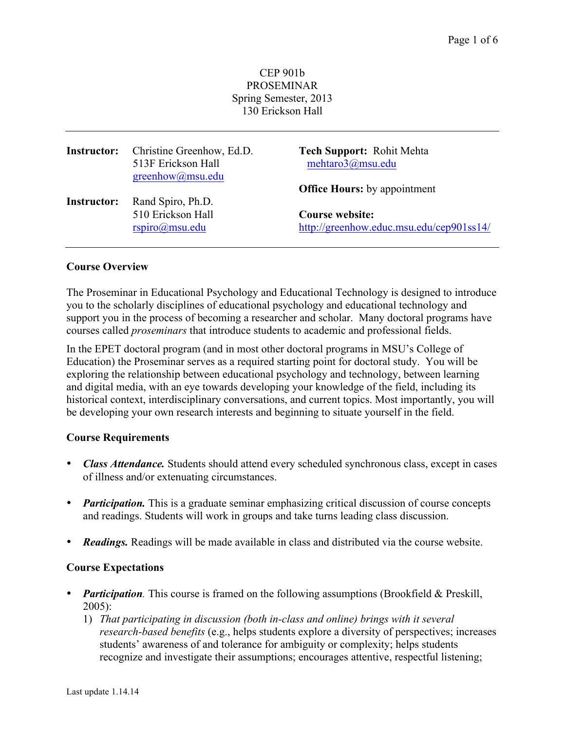#### CEP 901b PROSEMINAR Spring Semester, 2013 130 Erickson Hall

| <b>Instructor:</b> | Christine Greenhow, Ed.D.<br>513F Erickson Hall<br>greenhow@msu.edu | <b>Tech Support: Rohit Mehta</b><br>mehtaro3@msu.edu |
|--------------------|---------------------------------------------------------------------|------------------------------------------------------|
|                    |                                                                     | <b>Office Hours:</b> by appointment                  |
| <b>Instructor:</b> | Rand Spiro, Ph.D.                                                   |                                                      |
|                    | 510 Erickson Hall                                                   | <b>Course website:</b>                               |
|                    | rspio(a)msu.edu                                                     | http://greenhow.educ.msu.edu/cep901ss14/             |

#### **Course Overview**

The Proseminar in Educational Psychology and Educational Technology is designed to introduce you to the scholarly disciplines of educational psychology and educational technology and support you in the process of becoming a researcher and scholar. Many doctoral programs have courses called *proseminars* that introduce students to academic and professional fields.

In the EPET doctoral program (and in most other doctoral programs in MSU's College of Education) the Proseminar serves as a required starting point for doctoral study. You will be exploring the relationship between educational psychology and technology, between learning and digital media, with an eye towards developing your knowledge of the field, including its historical context, interdisciplinary conversations, and current topics. Most importantly, you will be developing your own research interests and beginning to situate yourself in the field.

#### **Course Requirements**

- *Class Attendance.* Students should attend every scheduled synchronous class, except in cases of illness and/or extenuating circumstances.
- *Participation*. This is a graduate seminar emphasizing critical discussion of course concepts and readings. Students will work in groups and take turns leading class discussion.
- *Readings.* Readings will be made available in class and distributed via the course website.

#### **Course Expectations**

- *Participation*. This course is framed on the following assumptions (Brookfield & Preskill, 2005):
	- 1) *That participating in discussion (both in-class and online) brings with it several research-based benefits* (e.g., helps students explore a diversity of perspectives; increases students' awareness of and tolerance for ambiguity or complexity; helps students recognize and investigate their assumptions; encourages attentive, respectful listening;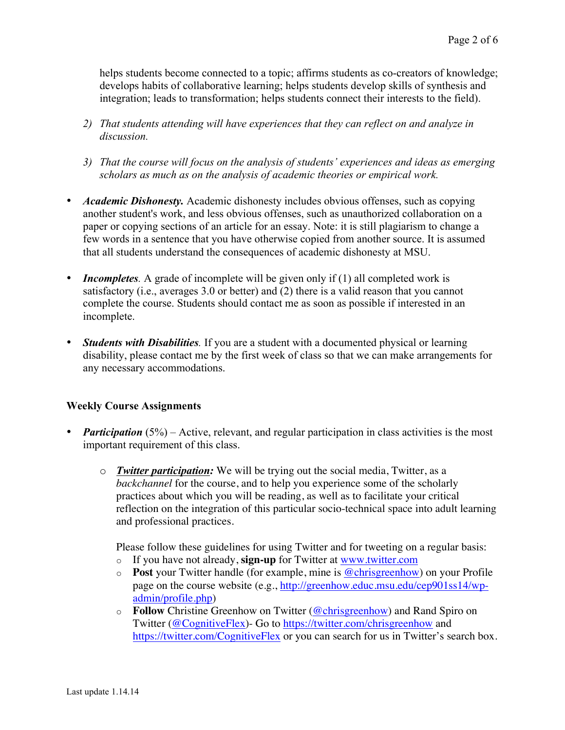helps students become connected to a topic; affirms students as co-creators of knowledge; develops habits of collaborative learning; helps students develop skills of synthesis and integration; leads to transformation; helps students connect their interests to the field).

- *2) That students attending will have experiences that they can reflect on and analyze in discussion.*
- *3) That the course will focus on the analysis of students' experiences and ideas as emerging scholars as much as on the analysis of academic theories or empirical work.*
- *Academic Dishonesty*. Academic dishonesty includes obvious offenses, such as copying another student's work, and less obvious offenses, such as unauthorized collaboration on a paper or copying sections of an article for an essay. Note: it is still plagiarism to change a few words in a sentence that you have otherwise copied from another source. It is assumed that all students understand the consequences of academic dishonesty at MSU.
- *Incompletes*. A grade of incomplete will be given only if (1) all completed work is satisfactory (i.e., averages 3.0 or better) and (2) there is a valid reason that you cannot complete the course. Students should contact me as soon as possible if interested in an incomplete.
- *Students with Disabilities.* If you are a student with a documented physical or learning disability, please contact me by the first week of class so that we can make arrangements for any necessary accommodations.

### **Weekly Course Assignments**

- *Participation* (5%) Active, relevant, and regular participation in class activities is the most important requirement of this class.
	- o *Twitter participation:* We will be trying out the social media, Twitter, as a *backchannel* for the course, and to help you experience some of the scholarly practices about which you will be reading, as well as to facilitate your critical reflection on the integration of this particular socio-technical space into adult learning and professional practices.

Please follow these guidelines for using Twitter and for tweeting on a regular basis:

- o If you have not already, **sign-up** for Twitter at www.twitter.com
- o **Post** your Twitter handle (for example, mine is @chrisgreenhow) on your Profile page on the course website (e.g., http://greenhow.educ.msu.edu/cep901ss14/wpadmin/profile.php)
- o **Follow** Christine Greenhow on Twitter (@chrisgreenhow) and Rand Spiro on Twitter (@CognitiveFlex)- Go to https://twitter.com/chrisgreenhow and https://twitter.com/CognitiveFlex or you can search for us in Twitter's search box.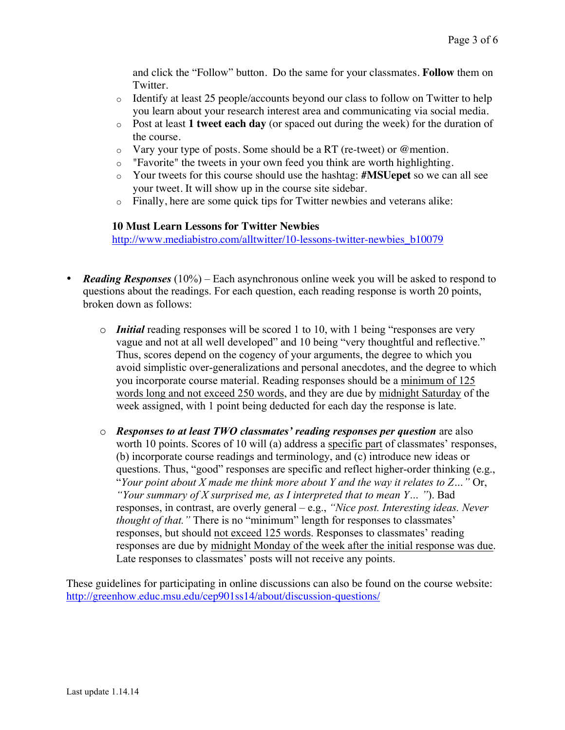and click the "Follow" button. Do the same for your classmates. **Follow** them on Twitter.

- $\circ$  Identify at least 25 people/accounts beyond our class to follow on Twitter to help you learn about your research interest area and communicating via social media.
- o Post at least **1 tweet each day** (or spaced out during the week) for the duration of the course.
- $\circ$  Vary your type of posts. Some should be a RT (re-tweet) or @mention.
- o "Favorite" the tweets in your own feed you think are worth highlighting.
- o Your tweets for this course should use the hashtag: **#MSUepet** so we can all see your tweet. It will show up in the course site sidebar.
- o Finally, here are some quick tips for Twitter newbies and veterans alike:

### **10 Must Learn Lessons for Twitter Newbies**

http://www.mediabistro.com/alltwitter/10-lessons-twitter-newbies\_b10079

- *Reading Responses* (10%) Each asynchronous online week you will be asked to respond to questions about the readings. For each question, each reading response is worth 20 points, broken down as follows:
	- o *Initial* reading responses will be scored 1 to 10, with 1 being "responses are very vague and not at all well developed" and 10 being "very thoughtful and reflective." Thus, scores depend on the cogency of your arguments, the degree to which you avoid simplistic over-generalizations and personal anecdotes, and the degree to which you incorporate course material. Reading responses should be a minimum of 125 words long and not exceed 250 words, and they are due by midnight Saturday of the week assigned, with 1 point being deducted for each day the response is late.
	- o *Responses to at least TWO classmates' reading responses per question* are also worth 10 points. Scores of 10 will (a) address a specific part of classmates' responses, (b) incorporate course readings and terminology, and (c) introduce new ideas or questions. Thus, "good" responses are specific and reflect higher-order thinking (e.g., "Your point about X made me think more about Y and the way it relates to  $Z...$ " Or, *"Your summary of X surprised me, as I interpreted that to mean Y… "*). Bad responses, in contrast, are overly general – e.g., *"Nice post. Interesting ideas. Never thought of that.*" There is no "minimum" length for responses to classmates' responses, but should not exceed 125 words. Responses to classmates' reading responses are due by midnight Monday of the week after the initial response was due. Late responses to classmates' posts will not receive any points.

These guidelines for participating in online discussions can also be found on the course website: http://greenhow.educ.msu.edu/cep901ss14/about/discussion-questions/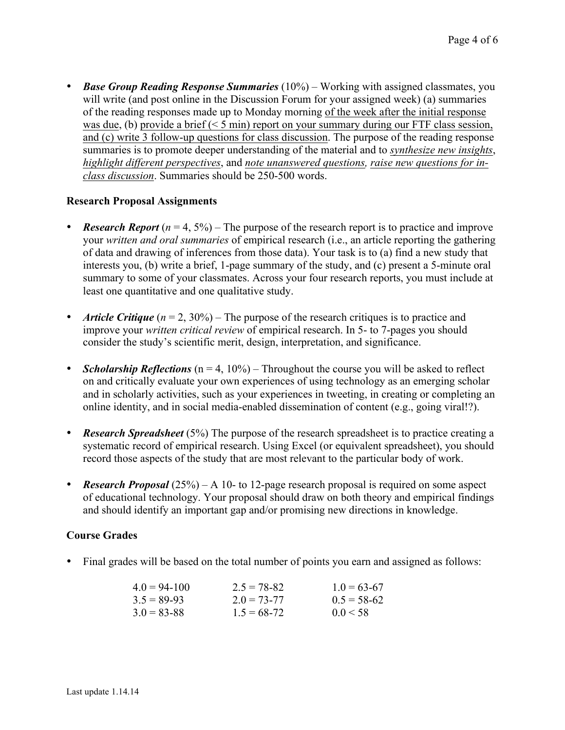• *Base Group Reading Response Summaries* (10%) – Working with assigned classmates, you will write (and post online in the Discussion Forum for your assigned week) (a) summaries of the reading responses made up to Monday morning of the week after the initial response was due, (b) provide a brief (< 5 min) report on your summary during our FTF class session, and (c) write 3 follow-up questions for class discussion. The purpose of the reading response summaries is to promote deeper understanding of the material and to *synthesize new insights*, *highlight different perspectives*, and *note unanswered questions, raise new questions for inclass discussion*. Summaries should be 250-500 words.

#### **Research Proposal Assignments**

- **Research Report**  $(n = 4, 5\%)$  The purpose of the research report is to practice and improve your *written and oral summaries* of empirical research (i.e., an article reporting the gathering of data and drawing of inferences from those data). Your task is to (a) find a new study that interests you, (b) write a brief, 1-page summary of the study, and (c) present a 5-minute oral summary to some of your classmates. Across your four research reports, you must include at least one quantitative and one qualitative study.
- *Article Critique*  $(n = 2, 30\%)$  The purpose of the research critiques is to practice and improve your *written critical review* of empirical research. In 5- to 7-pages you should consider the study's scientific merit, design, interpretation, and significance.
- *Scholarship Reflections* (n = 4, 10%) Throughout the course you will be asked to reflect on and critically evaluate your own experiences of using technology as an emerging scholar and in scholarly activities, such as your experiences in tweeting, in creating or completing an online identity, and in social media-enabled dissemination of content (e.g., going viral!?).
- *Research Spreadsheet* (5%) The purpose of the research spreadsheet is to practice creating a systematic record of empirical research. Using Excel (or equivalent spreadsheet), you should record those aspects of the study that are most relevant to the particular body of work.
- *Research Proposal* (25%) A 10- to 12-page research proposal is required on some aspect of educational technology. Your proposal should draw on both theory and empirical findings and should identify an important gap and/or promising new directions in knowledge.

### **Course Grades**

• Final grades will be based on the total number of points you earn and assigned as follows:

| $4.0 = 94 - 100$ | $2.5 = 78 - 82$ | $1.0 = 63-67$ |
|------------------|-----------------|---------------|
| $3.5 = 89-93$    | $2.0 = 73 - 77$ | $0.5 = 58-62$ |
| $3.0 = 83 - 88$  | $1.5 = 68 - 72$ | 0.0 < 58      |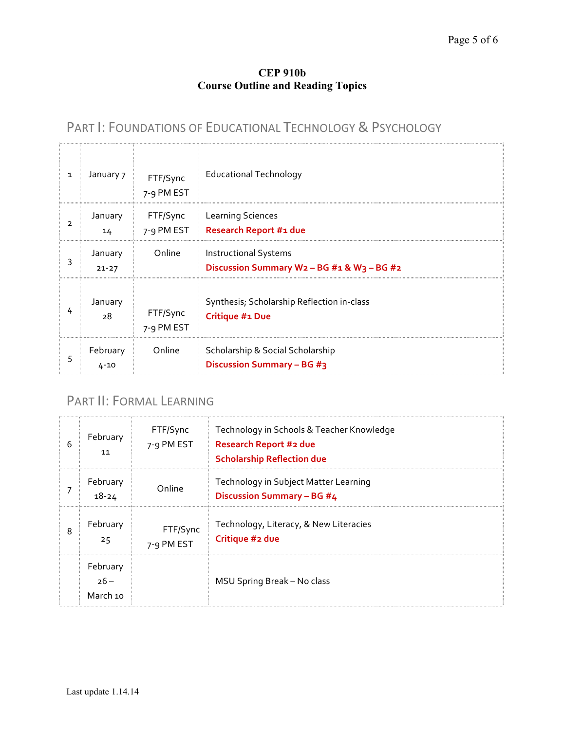## **CEP 910b Course Outline and Reading Topics**

# PART I: FOUNDATIONS OF EDUCATIONAL TECHNOLOGY & PSYCHOLOGY

| $\mathbf{1}$   | January 7            | FTF/Sync<br>7-9 PM EST | <b>Educational Technology</b>                                          |
|----------------|----------------------|------------------------|------------------------------------------------------------------------|
| $\overline{2}$ | January<br>14        |                        | <b>FTF/Sync</b> Learning Sciences<br>7-9 PM EST Research Report #1 due |
| 3              | January<br>$21 - 27$ | Online                 | <b>Instructional Systems</b><br>Discussion Summary W2-BG #1 & W3-BG #2 |
|                | January<br>28        | FTF/Sync<br>7-9 PM EST | Synthesis; Scholarship Reflection in-class<br><b>Critique #1 Due</b>   |
| 5              | February<br>$4 - 10$ | Online                 | Scholarship & Social Scholarship<br><b>Discussion Summary - BG #3</b>  |

# PART II: FORMAL LEARNING

| 6 | February<br>11                 | FTF/Sync<br>7-9 PM EST | Technology in Schools & Teacher Knowledge<br><b>Research Report #2 due</b><br><b>Scholarship Reflection due</b> |
|---|--------------------------------|------------------------|-----------------------------------------------------------------------------------------------------------------|
|   | February<br>18-24              | Online                 | Technology in Subject Matter Learning<br><b>Discussion Summary - BG #4</b>                                      |
| 8 | February<br>25                 | FTF/Sync<br>7-9 PM EST | Technology, Literacy, & New Literacies<br>Critique #2 due                                                       |
|   | February<br>$26 -$<br>March 10 |                        | MSU Spring Break - No class                                                                                     |